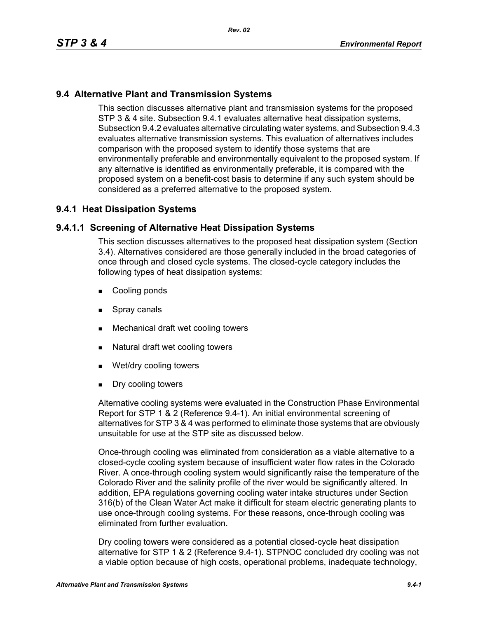## **9.4 Alternative Plant and Transmission Systems**

This section discusses alternative plant and transmission systems for the proposed STP 3 & 4 site. Subsection 9.4.1 evaluates alternative heat dissipation systems, Subsection 9.4.2 evaluates alternative circulating water systems, and Subsection 9.4.3 evaluates alternative transmission systems. This evaluation of alternatives includes comparison with the proposed system to identify those systems that are environmentally preferable and environmentally equivalent to the proposed system. If any alternative is identified as environmentally preferable, it is compared with the proposed system on a benefit-cost basis to determine if any such system should be considered as a preferred alternative to the proposed system.

## **9.4.1 Heat Dissipation Systems**

### **9.4.1.1 Screening of Alternative Heat Dissipation Systems**

This section discusses alternatives to the proposed heat dissipation system (Section 3.4). Alternatives considered are those generally included in the broad categories of once through and closed cycle systems. The closed-cycle category includes the following types of heat dissipation systems:

- **Cooling ponds**
- **Spray canals**
- Mechanical draft wet cooling towers
- Natural draft wet cooling towers
- Wet/dry cooling towers
- **Dry cooling towers**

Alternative cooling systems were evaluated in the Construction Phase Environmental Report for STP 1 & 2 (Reference 9.4-1). An initial environmental screening of alternatives for STP 3 & 4 was performed to eliminate those systems that are obviously unsuitable for use at the STP site as discussed below.

Once-through cooling was eliminated from consideration as a viable alternative to a closed-cycle cooling system because of insufficient water flow rates in the Colorado River. A once-through cooling system would significantly raise the temperature of the Colorado River and the salinity profile of the river would be significantly altered. In addition, EPA regulations governing cooling water intake structures under Section 316(b) of the Clean Water Act make it difficult for steam electric generating plants to use once-through cooling systems. For these reasons, once-through cooling was eliminated from further evaluation.

Dry cooling towers were considered as a potential closed-cycle heat dissipation alternative for STP 1 & 2 (Reference 9.4-1). STPNOC concluded dry cooling was not a viable option because of high costs, operational problems, inadequate technology,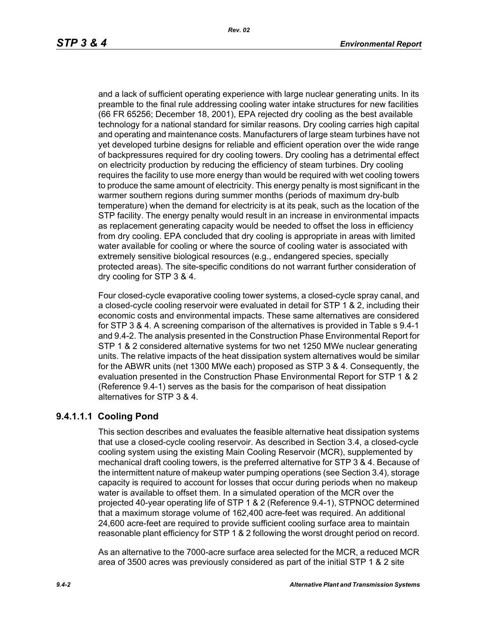and a lack of sufficient operating experience with large nuclear generating units. In its preamble to the final rule addressing cooling water intake structures for new facilities (66 FR 65256; December 18, 2001), EPA rejected dry cooling as the best available technology for a national standard for similar reasons. Dry cooling carries high capital and operating and maintenance costs. Manufacturers of large steam turbines have not yet developed turbine designs for reliable and efficient operation over the wide range of backpressures required for dry cooling towers. Dry cooling has a detrimental effect on electricity production by reducing the efficiency of steam turbines. Dry cooling requires the facility to use more energy than would be required with wet cooling towers to produce the same amount of electricity. This energy penalty is most significant in the warmer southern regions during summer months (periods of maximum dry-bulb temperature) when the demand for electricity is at its peak, such as the location of the STP facility. The energy penalty would result in an increase in environmental impacts as replacement generating capacity would be needed to offset the loss in efficiency from dry cooling. EPA concluded that dry cooling is appropriate in areas with limited water available for cooling or where the source of cooling water is associated with extremely sensitive biological resources (e.g., endangered species, specially protected areas). The site-specific conditions do not warrant further consideration of dry cooling for STP 3 & 4.

Four closed-cycle evaporative cooling tower systems, a closed-cycle spray canal, and a closed-cycle cooling reservoir were evaluated in detail for STP 1 & 2, including their economic costs and environmental impacts. These same alternatives are considered for STP 3 & 4. A screening comparison of the alternatives is provided in Table s 9.4-1 and 9.4-2. The analysis presented in the Construction Phase Environmental Report for STP 1 & 2 considered alternative systems for two net 1250 MWe nuclear generating units. The relative impacts of the heat dissipation system alternatives would be similar for the ABWR units (net 1300 MWe each) proposed as STP 3 & 4. Consequently, the evaluation presented in the Construction Phase Environmental Report for STP 1 & 2 (Reference 9.4-1) serves as the basis for the comparison of heat dissipation alternatives for STP 3 & 4.

## **9.4.1.1.1 Cooling Pond**

This section describes and evaluates the feasible alternative heat dissipation systems that use a closed-cycle cooling reservoir. As described in Section 3.4, a closed-cycle cooling system using the existing Main Cooling Reservoir (MCR), supplemented by mechanical draft cooling towers, is the preferred alternative for STP 3 & 4. Because of the intermittent nature of makeup water pumping operations (see Section 3.4), storage capacity is required to account for losses that occur during periods when no makeup water is available to offset them. In a simulated operation of the MCR over the projected 40-year operating life of STP 1 & 2 (Reference 9.4-1), STPNOC determined that a maximum storage volume of 162,400 acre-feet was required. An additional 24,600 acre-feet are required to provide sufficient cooling surface area to maintain reasonable plant efficiency for STP 1 & 2 following the worst drought period on record.

As an alternative to the 7000-acre surface area selected for the MCR, a reduced MCR area of 3500 acres was previously considered as part of the initial STP 1 & 2 site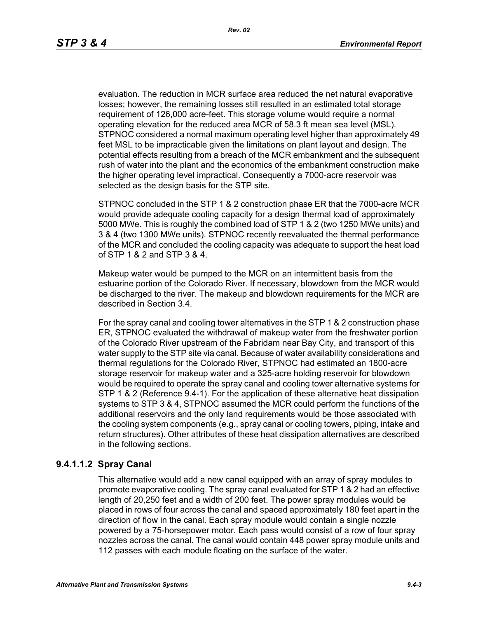evaluation. The reduction in MCR surface area reduced the net natural evaporative losses; however, the remaining losses still resulted in an estimated total storage requirement of 126,000 acre-feet. This storage volume would require a normal operating elevation for the reduced area MCR of 58.3 ft mean sea level (MSL). STPNOC considered a normal maximum operating level higher than approximately 49 feet MSL to be impracticable given the limitations on plant layout and design. The potential effects resulting from a breach of the MCR embankment and the subsequent rush of water into the plant and the economics of the embankment construction make the higher operating level impractical. Consequently a 7000-acre reservoir was selected as the design basis for the STP site.

STPNOC concluded in the STP 1 & 2 construction phase ER that the 7000-acre MCR would provide adequate cooling capacity for a design thermal load of approximately 5000 MWe. This is roughly the combined load of STP 1 & 2 (two 1250 MWe units) and 3 & 4 (two 1300 MWe units). STPNOC recently reevaluated the thermal performance of the MCR and concluded the cooling capacity was adequate to support the heat load of STP 1 & 2 and STP 3 & 4.

Makeup water would be pumped to the MCR on an intermittent basis from the estuarine portion of the Colorado River. If necessary, blowdown from the MCR would be discharged to the river. The makeup and blowdown requirements for the MCR are described in Section 3.4.

For the spray canal and cooling tower alternatives in the STP 1 & 2 construction phase ER, STPNOC evaluated the withdrawal of makeup water from the freshwater portion of the Colorado River upstream of the Fabridam near Bay City, and transport of this water supply to the STP site via canal. Because of water availability considerations and thermal regulations for the Colorado River, STPNOC had estimated an 1800-acre storage reservoir for makeup water and a 325-acre holding reservoir for blowdown would be required to operate the spray canal and cooling tower alternative systems for STP 1 & 2 (Reference 9.4-1). For the application of these alternative heat dissipation systems to STP 3 & 4, STPNOC assumed the MCR could perform the functions of the additional reservoirs and the only land requirements would be those associated with the cooling system components (e.g., spray canal or cooling towers, piping, intake and return structures). Other attributes of these heat dissipation alternatives are described in the following sections.

### **9.4.1.1.2 Spray Canal**

This alternative would add a new canal equipped with an array of spray modules to promote evaporative cooling. The spray canal evaluated for STP 1 & 2 had an effective length of 20,250 feet and a width of 200 feet. The power spray modules would be placed in rows of four across the canal and spaced approximately 180 feet apart in the direction of flow in the canal. Each spray module would contain a single nozzle powered by a 75-horsepower motor. Each pass would consist of a row of four spray nozzles across the canal. The canal would contain 448 power spray module units and 112 passes with each module floating on the surface of the water.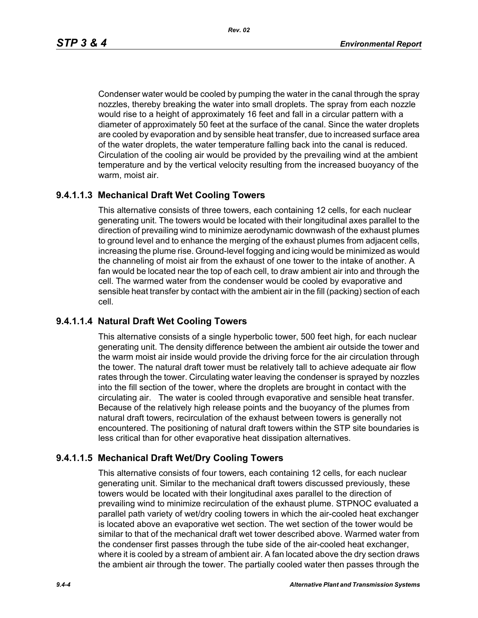*Rev. 02*

Condenser water would be cooled by pumping the water in the canal through the spray nozzles, thereby breaking the water into small droplets. The spray from each nozzle would rise to a height of approximately 16 feet and fall in a circular pattern with a diameter of approximately 50 feet at the surface of the canal. Since the water droplets are cooled by evaporation and by sensible heat transfer, due to increased surface area of the water droplets, the water temperature falling back into the canal is reduced. Circulation of the cooling air would be provided by the prevailing wind at the ambient temperature and by the vertical velocity resulting from the increased buoyancy of the warm, moist air.

## **9.4.1.1.3 Mechanical Draft Wet Cooling Towers**

This alternative consists of three towers, each containing 12 cells, for each nuclear generating unit. The towers would be located with their longitudinal axes parallel to the direction of prevailing wind to minimize aerodynamic downwash of the exhaust plumes to ground level and to enhance the merging of the exhaust plumes from adjacent cells, increasing the plume rise. Ground-level fogging and icing would be minimized as would the channeling of moist air from the exhaust of one tower to the intake of another. A fan would be located near the top of each cell, to draw ambient air into and through the cell. The warmed water from the condenser would be cooled by evaporative and sensible heat transfer by contact with the ambient air in the fill (packing) section of each cell.

## **9.4.1.1.4 Natural Draft Wet Cooling Towers**

This alternative consists of a single hyperbolic tower, 500 feet high, for each nuclear generating unit. The density difference between the ambient air outside the tower and the warm moist air inside would provide the driving force for the air circulation through the tower. The natural draft tower must be relatively tall to achieve adequate air flow rates through the tower. Circulating water leaving the condenser is sprayed by nozzles into the fill section of the tower, where the droplets are brought in contact with the circulating air. The water is cooled through evaporative and sensible heat transfer. Because of the relatively high release points and the buoyancy of the plumes from natural draft towers, recirculation of the exhaust between towers is generally not encountered. The positioning of natural draft towers within the STP site boundaries is less critical than for other evaporative heat dissipation alternatives.

# **9.4.1.1.5 Mechanical Draft Wet/Dry Cooling Towers**

This alternative consists of four towers, each containing 12 cells, for each nuclear generating unit. Similar to the mechanical draft towers discussed previously, these towers would be located with their longitudinal axes parallel to the direction of prevailing wind to minimize recirculation of the exhaust plume. STPNOC evaluated a parallel path variety of wet/dry cooling towers in which the air-cooled heat exchanger is located above an evaporative wet section. The wet section of the tower would be similar to that of the mechanical draft wet tower described above. Warmed water from the condenser first passes through the tube side of the air-cooled heat exchanger, where it is cooled by a stream of ambient air. A fan located above the dry section draws the ambient air through the tower. The partially cooled water then passes through the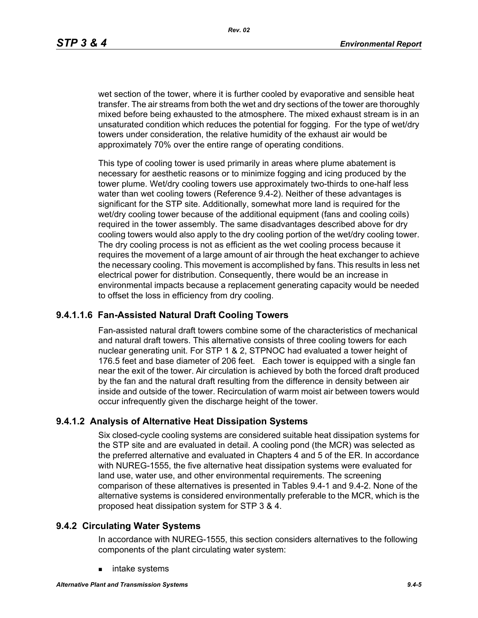wet section of the tower, where it is further cooled by evaporative and sensible heat transfer. The air streams from both the wet and dry sections of the tower are thoroughly mixed before being exhausted to the atmosphere. The mixed exhaust stream is in an unsaturated condition which reduces the potential for fogging. For the type of wet/dry towers under consideration, the relative humidity of the exhaust air would be approximately 70% over the entire range of operating conditions.

This type of cooling tower is used primarily in areas where plume abatement is necessary for aesthetic reasons or to minimize fogging and icing produced by the tower plume. Wet/dry cooling towers use approximately two-thirds to one-half less water than wet cooling towers (Reference 9.4-2). Neither of these advantages is significant for the STP site. Additionally, somewhat more land is required for the wet/dry cooling tower because of the additional equipment (fans and cooling coils) required in the tower assembly. The same disadvantages described above for dry cooling towers would also apply to the dry cooling portion of the wet/dry cooling tower. The dry cooling process is not as efficient as the wet cooling process because it requires the movement of a large amount of air through the heat exchanger to achieve the necessary cooling. This movement is accomplished by fans. This results in less net electrical power for distribution. Consequently, there would be an increase in environmental impacts because a replacement generating capacity would be needed to offset the loss in efficiency from dry cooling.

## **9.4.1.1.6 Fan-Assisted Natural Draft Cooling Towers**

Fan-assisted natural draft towers combine some of the characteristics of mechanical and natural draft towers. This alternative consists of three cooling towers for each nuclear generating unit. For STP 1 & 2, STPNOC had evaluated a tower height of 176.5 feet and base diameter of 206 feet. Each tower is equipped with a single fan near the exit of the tower. Air circulation is achieved by both the forced draft produced by the fan and the natural draft resulting from the difference in density between air inside and outside of the tower. Recirculation of warm moist air between towers would occur infrequently given the discharge height of the tower.

#### **9.4.1.2 Analysis of Alternative Heat Dissipation Systems**

Six closed-cycle cooling systems are considered suitable heat dissipation systems for the STP site and are evaluated in detail. A cooling pond (the MCR) was selected as the preferred alternative and evaluated in Chapters 4 and 5 of the ER. In accordance with NUREG-1555, the five alternative heat dissipation systems were evaluated for land use, water use, and other environmental requirements. The screening comparison of these alternatives is presented in Tables 9.4-1 and 9.4-2. None of the alternative systems is considered environmentally preferable to the MCR, which is the proposed heat dissipation system for STP 3 & 4.

#### **9.4.2 Circulating Water Systems**

In accordance with NUREG-1555, this section considers alternatives to the following components of the plant circulating water system:

intake systems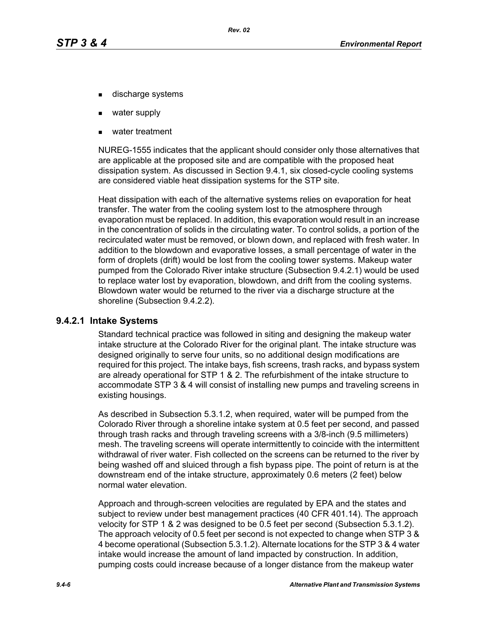- discharge systems
- water supply
- water treatment

NUREG-1555 indicates that the applicant should consider only those alternatives that are applicable at the proposed site and are compatible with the proposed heat dissipation system. As discussed in Section 9.4.1, six closed-cycle cooling systems are considered viable heat dissipation systems for the STP site.

Heat dissipation with each of the alternative systems relies on evaporation for heat transfer. The water from the cooling system lost to the atmosphere through evaporation must be replaced. In addition, this evaporation would result in an increase in the concentration of solids in the circulating water. To control solids, a portion of the recirculated water must be removed, or blown down, and replaced with fresh water. In addition to the blowdown and evaporative losses, a small percentage of water in the form of droplets (drift) would be lost from the cooling tower systems. Makeup water pumped from the Colorado River intake structure (Subsection 9.4.2.1) would be used to replace water lost by evaporation, blowdown, and drift from the cooling systems. Blowdown water would be returned to the river via a discharge structure at the shoreline (Subsection 9.4.2.2).

#### **9.4.2.1 Intake Systems**

Standard technical practice was followed in siting and designing the makeup water intake structure at the Colorado River for the original plant. The intake structure was designed originally to serve four units, so no additional design modifications are required for this project. The intake bays, fish screens, trash racks, and bypass system are already operational for STP 1 & 2. The refurbishment of the intake structure to accommodate STP 3 & 4 will consist of installing new pumps and traveling screens in existing housings.

As described in Subsection 5.3.1.2, when required, water will be pumped from the Colorado River through a shoreline intake system at 0.5 feet per second, and passed through trash racks and through traveling screens with a 3/8-inch (9.5 millimeters) mesh. The traveling screens will operate intermittently to coincide with the intermittent withdrawal of river water. Fish collected on the screens can be returned to the river by being washed off and sluiced through a fish bypass pipe. The point of return is at the downstream end of the intake structure, approximately 0.6 meters (2 feet) below normal water elevation.

Approach and through-screen velocities are regulated by EPA and the states and subject to review under best management practices (40 CFR 401.14). The approach velocity for STP 1 & 2 was designed to be 0.5 feet per second (Subsection 5.3.1.2). The approach velocity of 0.5 feet per second is not expected to change when STP 3 & 4 become operational (Subsection 5.3.1.2). Alternate locations for the STP 3 & 4 water intake would increase the amount of land impacted by construction. In addition, pumping costs could increase because of a longer distance from the makeup water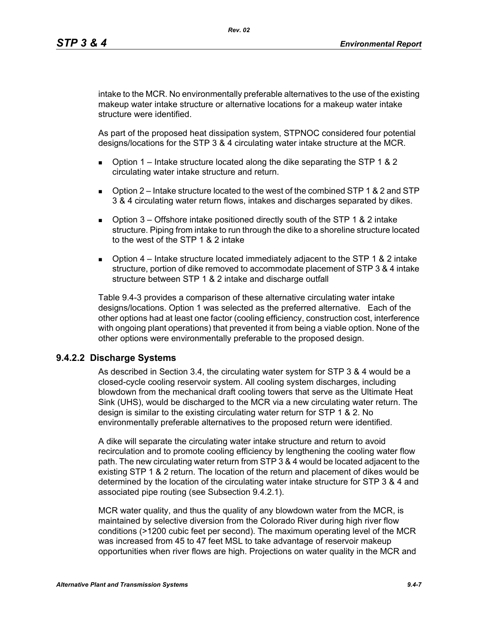intake to the MCR. No environmentally preferable alternatives to the use of the existing makeup water intake structure or alternative locations for a makeup water intake structure were identified.

As part of the proposed heat dissipation system, STPNOC considered four potential designs/locations for the STP 3 & 4 circulating water intake structure at the MCR.

- **D** Option 1 Intake structure located along the dike separating the STP 1 & 2 circulating water intake structure and return.
- $\Box$  Option 2 Intake structure located to the west of the combined STP 1 & 2 and STP 3 & 4 circulating water return flows, intakes and discharges separated by dikes.
- **D** Option  $3$  Offshore intake positioned directly south of the STP 1 & 2 intake structure. Piping from intake to run through the dike to a shoreline structure located to the west of the STP 1 & 2 intake
- **D** Option  $4$  Intake structure located immediately adjacent to the STP 1 & 2 intake structure, portion of dike removed to accommodate placement of STP 3 & 4 intake structure between STP 1 & 2 intake and discharge outfall

Table 9.4-3 provides a comparison of these alternative circulating water intake designs/locations. Option 1 was selected as the preferred alternative. Each of the other options had at least one factor (cooling efficiency, construction cost, interference with ongoing plant operations) that prevented it from being a viable option. None of the other options were environmentally preferable to the proposed design.

### **9.4.2.2 Discharge Systems**

As described in Section 3.4, the circulating water system for STP 3 & 4 would be a closed-cycle cooling reservoir system. All cooling system discharges, including blowdown from the mechanical draft cooling towers that serve as the Ultimate Heat Sink (UHS), would be discharged to the MCR via a new circulating water return. The design is similar to the existing circulating water return for STP 1 & 2. No environmentally preferable alternatives to the proposed return were identified.

A dike will separate the circulating water intake structure and return to avoid recirculation and to promote cooling efficiency by lengthening the cooling water flow path. The new circulating water return from STP 3 & 4 would be located adjacent to the existing STP 1 & 2 return. The location of the return and placement of dikes would be determined by the location of the circulating water intake structure for STP 3 & 4 and associated pipe routing (see Subsection 9.4.2.1).

MCR water quality, and thus the quality of any blowdown water from the MCR, is maintained by selective diversion from the Colorado River during high river flow conditions (>1200 cubic feet per second). The maximum operating level of the MCR was increased from 45 to 47 feet MSL to take advantage of reservoir makeup opportunities when river flows are high. Projections on water quality in the MCR and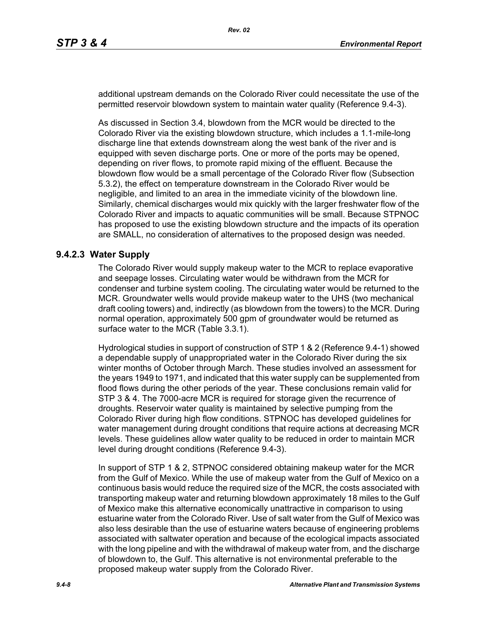additional upstream demands on the Colorado River could necessitate the use of the permitted reservoir blowdown system to maintain water quality (Reference 9.4-3).

As discussed in Section 3.4, blowdown from the MCR would be directed to the Colorado River via the existing blowdown structure, which includes a 1.1-mile-long discharge line that extends downstream along the west bank of the river and is equipped with seven discharge ports. One or more of the ports may be opened, depending on river flows, to promote rapid mixing of the effluent. Because the blowdown flow would be a small percentage of the Colorado River flow (Subsection 5.3.2), the effect on temperature downstream in the Colorado River would be negligible, and limited to an area in the immediate vicinity of the blowdown line. Similarly, chemical discharges would mix quickly with the larger freshwater flow of the Colorado River and impacts to aquatic communities will be small. Because STPNOC has proposed to use the existing blowdown structure and the impacts of its operation are SMALL, no consideration of alternatives to the proposed design was needed.

#### **9.4.2.3 Water Supply**

The Colorado River would supply makeup water to the MCR to replace evaporative and seepage losses. Circulating water would be withdrawn from the MCR for condenser and turbine system cooling. The circulating water would be returned to the MCR. Groundwater wells would provide makeup water to the UHS (two mechanical draft cooling towers) and, indirectly (as blowdown from the towers) to the MCR. During normal operation, approximately 500 gpm of groundwater would be returned as surface water to the MCR (Table 3.3.1).

Hydrological studies in support of construction of STP 1 & 2 (Reference 9.4-1) showed a dependable supply of unappropriated water in the Colorado River during the six winter months of October through March. These studies involved an assessment for the years 1949 to 1971, and indicated that this water supply can be supplemented from flood flows during the other periods of the year. These conclusions remain valid for STP 3 & 4. The 7000-acre MCR is required for storage given the recurrence of droughts. Reservoir water quality is maintained by selective pumping from the Colorado River during high flow conditions. STPNOC has developed guidelines for water management during drought conditions that require actions at decreasing MCR levels. These guidelines allow water quality to be reduced in order to maintain MCR level during drought conditions (Reference 9.4-3).

In support of STP 1 & 2, STPNOC considered obtaining makeup water for the MCR from the Gulf of Mexico. While the use of makeup water from the Gulf of Mexico on a continuous basis would reduce the required size of the MCR, the costs associated with transporting makeup water and returning blowdown approximately 18 miles to the Gulf of Mexico make this alternative economically unattractive in comparison to using estuarine water from the Colorado River. Use of salt water from the Gulf of Mexico was also less desirable than the use of estuarine waters because of engineering problems associated with saltwater operation and because of the ecological impacts associated with the long pipeline and with the withdrawal of makeup water from, and the discharge of blowdown to, the Gulf. This alternative is not environmental preferable to the proposed makeup water supply from the Colorado River.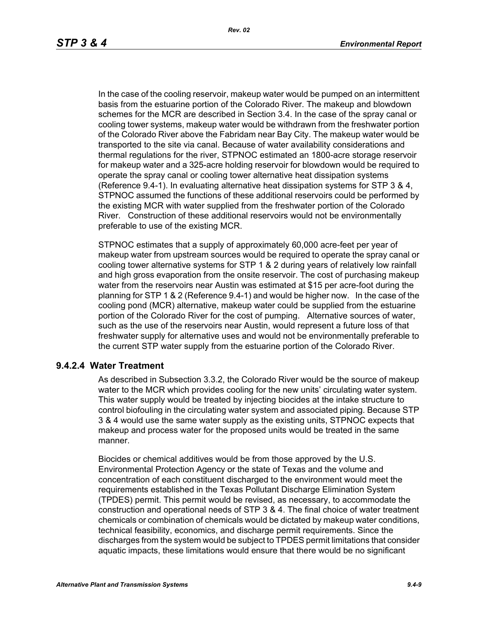In the case of the cooling reservoir, makeup water would be pumped on an intermittent basis from the estuarine portion of the Colorado River. The makeup and blowdown schemes for the MCR are described in Section 3.4. In the case of the spray canal or cooling tower systems, makeup water would be withdrawn from the freshwater portion of the Colorado River above the Fabridam near Bay City. The makeup water would be transported to the site via canal. Because of water availability considerations and thermal regulations for the river, STPNOC estimated an 1800-acre storage reservoir for makeup water and a 325-acre holding reservoir for blowdown would be required to operate the spray canal or cooling tower alternative heat dissipation systems (Reference 9.4-1). In evaluating alternative heat dissipation systems for STP 3 & 4, STPNOC assumed the functions of these additional reservoirs could be performed by the existing MCR with water supplied from the freshwater portion of the Colorado River. Construction of these additional reservoirs would not be environmentally preferable to use of the existing MCR.

STPNOC estimates that a supply of approximately 60,000 acre-feet per year of makeup water from upstream sources would be required to operate the spray canal or cooling tower alternative systems for STP 1 & 2 during years of relatively low rainfall and high gross evaporation from the onsite reservoir. The cost of purchasing makeup water from the reservoirs near Austin was estimated at \$15 per acre-foot during the planning for STP 1 & 2 (Reference 9.4-1) and would be higher now. In the case of the cooling pond (MCR) alternative, makeup water could be supplied from the estuarine portion of the Colorado River for the cost of pumping. Alternative sources of water, such as the use of the reservoirs near Austin, would represent a future loss of that freshwater supply for alternative uses and would not be environmentally preferable to the current STP water supply from the estuarine portion of the Colorado River.

#### **9.4.2.4 Water Treatment**

As described in Subsection 3.3.2, the Colorado River would be the source of makeup water to the MCR which provides cooling for the new units' circulating water system. This water supply would be treated by injecting biocides at the intake structure to control biofouling in the circulating water system and associated piping. Because STP 3 & 4 would use the same water supply as the existing units, STPNOC expects that makeup and process water for the proposed units would be treated in the same manner.

Biocides or chemical additives would be from those approved by the U.S. Environmental Protection Agency or the state of Texas and the volume and concentration of each constituent discharged to the environment would meet the requirements established in the Texas Pollutant Discharge Elimination System (TPDES) permit. This permit would be revised, as necessary, to accommodate the construction and operational needs of STP 3 & 4. The final choice of water treatment chemicals or combination of chemicals would be dictated by makeup water conditions, technical feasibility, economics, and discharge permit requirements. Since the discharges from the system would be subject to TPDES permit limitations that consider aquatic impacts, these limitations would ensure that there would be no significant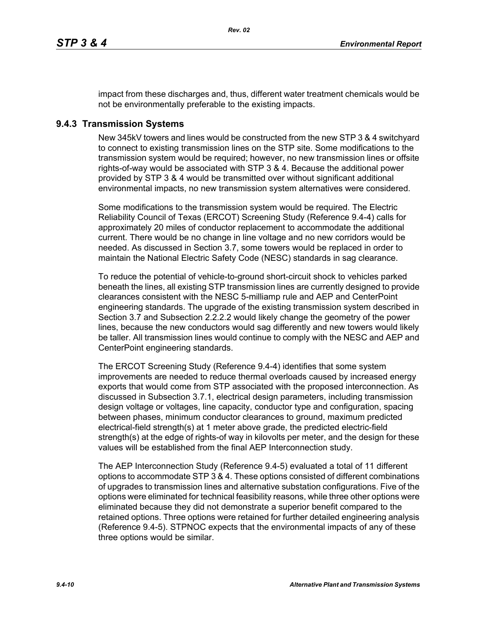impact from these discharges and, thus, different water treatment chemicals would be not be environmentally preferable to the existing impacts.

## **9.4.3 Transmission Systems**

New 345kV towers and lines would be constructed from the new STP 3 & 4 switchyard to connect to existing transmission lines on the STP site. Some modifications to the transmission system would be required; however, no new transmission lines or offsite rights-of-way would be associated with STP 3 & 4. Because the additional power provided by STP 3 & 4 would be transmitted over without significant additional environmental impacts, no new transmission system alternatives were considered.

Some modifications to the transmission system would be required. The Electric Reliability Council of Texas (ERCOT) Screening Study (Reference 9.4-4) calls for approximately 20 miles of conductor replacement to accommodate the additional current. There would be no change in line voltage and no new corridors would be needed. As discussed in Section 3.7, some towers would be replaced in order to maintain the National Electric Safety Code (NESC) standards in sag clearance.

To reduce the potential of vehicle-to-ground short-circuit shock to vehicles parked beneath the lines, all existing STP transmission lines are currently designed to provide clearances consistent with the NESC 5-milliamp rule and AEP and CenterPoint engineering standards. The upgrade of the existing transmission system described in Section 3.7 and Subsection 2.2.2.2 would likely change the geometry of the power lines, because the new conductors would sag differently and new towers would likely be taller. All transmission lines would continue to comply with the NESC and AEP and CenterPoint engineering standards.

The ERCOT Screening Study (Reference 9.4-4) identifies that some system improvements are needed to reduce thermal overloads caused by increased energy exports that would come from STP associated with the proposed interconnection. As discussed in Subsection 3.7.1, electrical design parameters, including transmission design voltage or voltages, line capacity, conductor type and configuration, spacing between phases, minimum conductor clearances to ground, maximum predicted electrical-field strength(s) at 1 meter above grade, the predicted electric-field strength(s) at the edge of rights-of way in kilovolts per meter, and the design for these values will be established from the final AEP Interconnection study.

The AEP Interconnection Study (Reference 9.4-5) evaluated a total of 11 different options to accommodate STP 3 & 4. These options consisted of different combinations of upgrades to transmission lines and alternative substation configurations. Five of the options were eliminated for technical feasibility reasons, while three other options were eliminated because they did not demonstrate a superior benefit compared to the retained options. Three options were retained for further detailed engineering analysis (Reference 9.4-5). STPNOC expects that the environmental impacts of any of these three options would be similar.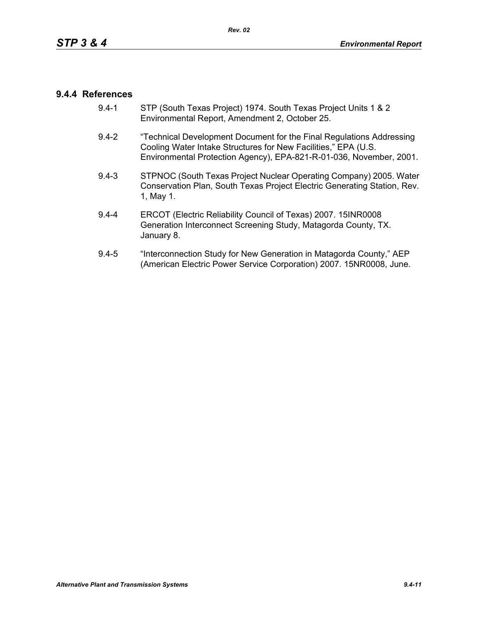## **9.4.4 References**

- 9.4-1 STP (South Texas Project) 1974. South Texas Project Units 1 & 2 Environmental Report, Amendment 2, October 25.
- 9.4-2 "Technical Development Document for the Final Regulations Addressing Cooling Water Intake Structures for New Facilities," EPA (U.S. Environmental Protection Agency), EPA-821-R-01-036, November, 2001.
- 9.4-3 STPNOC (South Texas Project Nuclear Operating Company) 2005. Water Conservation Plan, South Texas Project Electric Generating Station, Rev. 1, May 1.
- 9.4-4 ERCOT (Electric Reliability Council of Texas) 2007. 15INR0008 Generation Interconnect Screening Study, Matagorda County, TX. January 8.
- 9.4-5 "Interconnection Study for New Generation in Matagorda County," AEP (American Electric Power Service Corporation) 2007. 15NR0008, June.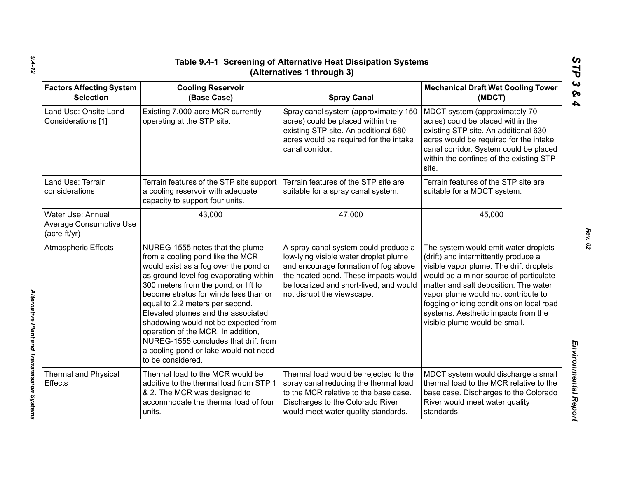| <b>Factors Affecting System</b><br><b>Selection</b>                 | <b>Cooling Reservoir</b><br>(Base Case)                                                                                                                                                                                                                                                                                                                                                                                                                                                              | <b>Spray Canal</b>                                                                                                                                                                                                                     | <b>Mechanical Draft Wet Cooling Tower</b><br>(MDCT)                                                                                                                                                                                                                                                                                                                    |
|---------------------------------------------------------------------|------------------------------------------------------------------------------------------------------------------------------------------------------------------------------------------------------------------------------------------------------------------------------------------------------------------------------------------------------------------------------------------------------------------------------------------------------------------------------------------------------|----------------------------------------------------------------------------------------------------------------------------------------------------------------------------------------------------------------------------------------|------------------------------------------------------------------------------------------------------------------------------------------------------------------------------------------------------------------------------------------------------------------------------------------------------------------------------------------------------------------------|
| Land Use: Onsite Land<br>Considerations [1]                         | Existing 7,000-acre MCR currently<br>operating at the STP site.                                                                                                                                                                                                                                                                                                                                                                                                                                      | Spray canal system (approximately 150<br>acres) could be placed within the<br>existing STP site. An additional 680<br>acres would be required for the intake<br>canal corridor.                                                        | MDCT system (approximately 70<br>acres) could be placed within the<br>existing STP site. An additional 630<br>acres would be required for the intake<br>canal corridor. System could be placed<br>within the confines of the existing STP<br>site.                                                                                                                     |
| Land Use: Terrain<br>considerations                                 | Terrain features of the STP site support<br>a cooling reservoir with adequate<br>capacity to support four units.                                                                                                                                                                                                                                                                                                                                                                                     | Terrain features of the STP site are<br>suitable for a spray canal system.                                                                                                                                                             | Terrain features of the STP site are<br>suitable for a MDCT system.                                                                                                                                                                                                                                                                                                    |
| Water Use: Annual<br><b>Average Consumptive Use</b><br>(acre-ft/yr) | 43,000                                                                                                                                                                                                                                                                                                                                                                                                                                                                                               | 47,000                                                                                                                                                                                                                                 | 45,000                                                                                                                                                                                                                                                                                                                                                                 |
| <b>Atmospheric Effects</b>                                          | NUREG-1555 notes that the plume<br>from a cooling pond like the MCR<br>would exist as a fog over the pond or<br>as ground level fog evaporating within<br>300 meters from the pond, or lift to<br>become stratus for winds less than or<br>equal to 2.2 meters per second.<br>Elevated plumes and the associated<br>shadowing would not be expected from<br>operation of the MCR. In addition,<br>NUREG-1555 concludes that drift from<br>a cooling pond or lake would not need<br>to be considered. | A spray canal system could produce a<br>low-lying visible water droplet plume<br>and encourage formation of fog above<br>the heated pond. These impacts would<br>be localized and short-lived, and would<br>not disrupt the viewscape. | The system would emit water droplets<br>(drift) and intermittently produce a<br>visible vapor plume. The drift droplets<br>would be a minor source of particulate<br>matter and salt deposition. The water<br>vapor plume would not contribute to<br>fogging or icing conditions on local road<br>systems. Aesthetic impacts from the<br>visible plume would be small. |
| Thermal and Physical<br><b>Effects</b>                              | Thermal load to the MCR would be<br>additive to the thermal load from STP 1<br>& 2. The MCR was designed to<br>accommodate the thermal load of four<br>units.                                                                                                                                                                                                                                                                                                                                        | Thermal load would be rejected to the<br>spray canal reducing the thermal load<br>to the MCR relative to the base case.<br>Discharges to the Colorado River<br>would meet water quality standards.                                     | MDCT system would discharge a small<br>thermal load to the MCR relative to the<br>base case. Discharges to the Colorado<br>River would meet water quality<br>standards.                                                                                                                                                                                                |

*Alternative Plant and Transmission Systems* 

Alternative Plant and Transmission Systems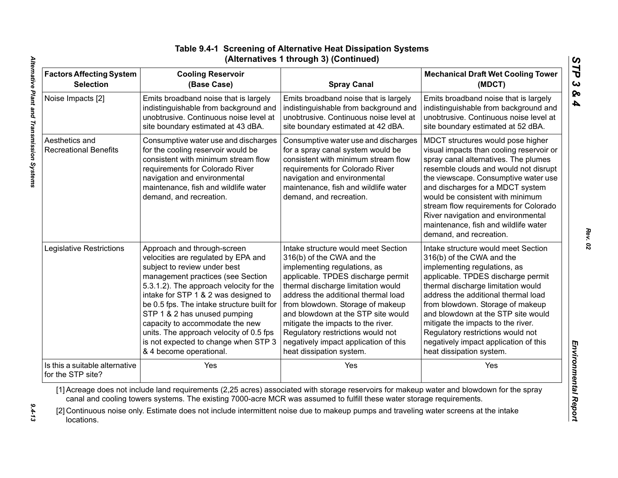| <b>Factors Affecting System</b>                | <b>Cooling Reservoir</b>                                                                                                                                                                                                                                | <b>Spray Canal</b>                                                                                                                                                                                                                                                                                                                                                                                           | <b>Mechanical Draft Wet Cooling Tower</b>                                                                                                                                                                                                                                                                                                                                                                                        |
|------------------------------------------------|---------------------------------------------------------------------------------------------------------------------------------------------------------------------------------------------------------------------------------------------------------|--------------------------------------------------------------------------------------------------------------------------------------------------------------------------------------------------------------------------------------------------------------------------------------------------------------------------------------------------------------------------------------------------------------|----------------------------------------------------------------------------------------------------------------------------------------------------------------------------------------------------------------------------------------------------------------------------------------------------------------------------------------------------------------------------------------------------------------------------------|
| <b>Selection</b>                               | (Base Case)                                                                                                                                                                                                                                             |                                                                                                                                                                                                                                                                                                                                                                                                              | (MDCT)                                                                                                                                                                                                                                                                                                                                                                                                                           |
| Noise Impacts [2]                              | Emits broadband noise that is largely                                                                                                                                                                                                                   | Emits broadband noise that is largely                                                                                                                                                                                                                                                                                                                                                                        | Emits broadband noise that is largely                                                                                                                                                                                                                                                                                                                                                                                            |
|                                                | indistinguishable from background and                                                                                                                                                                                                                   | indistinguishable from background and                                                                                                                                                                                                                                                                                                                                                                        | indistinguishable from background and                                                                                                                                                                                                                                                                                                                                                                                            |
|                                                | unobtrusive. Continuous noise level at                                                                                                                                                                                                                  | unobtrusive. Continuous noise level at                                                                                                                                                                                                                                                                                                                                                                       | unobtrusive. Continuous noise level at                                                                                                                                                                                                                                                                                                                                                                                           |
|                                                | site boundary estimated at 43 dBA.                                                                                                                                                                                                                      | site boundary estimated at 42 dBA.                                                                                                                                                                                                                                                                                                                                                                           | site boundary estimated at 52 dBA.                                                                                                                                                                                                                                                                                                                                                                                               |
| Aesthetics and<br><b>Recreational Benefits</b> | Consumptive water use and discharges<br>for the cooling reservoir would be<br>consistent with minimum stream flow<br>requirements for Colorado River<br>navigation and environmental<br>maintenance, fish and wildlife water<br>demand, and recreation. | Consumptive water use and discharges<br>for a spray canal system would be<br>consistent with minimum stream flow<br>requirements for Colorado River<br>navigation and environmental<br>maintenance, fish and wildlife water<br>demand, and recreation.                                                                                                                                                       | MDCT structures would pose higher<br>visual impacts than cooling reservoir or<br>spray canal alternatives. The plumes<br>resemble clouds and would not disrupt<br>the viewscape. Consumptive water use<br>and discharges for a MDCT system<br>would be consistent with minimum<br>stream flow requirements for Colorado<br>River navigation and environmental<br>maintenance, fish and wildlife water<br>demand, and recreation. |
| Legislative Restrictions                       | Approach and through-screen                                                                                                                                                                                                                             | Intake structure would meet Section                                                                                                                                                                                                                                                                                                                                                                          | Intake structure would meet Section                                                                                                                                                                                                                                                                                                                                                                                              |
|                                                | velocities are regulated by EPA and                                                                                                                                                                                                                     | 316(b) of the CWA and the                                                                                                                                                                                                                                                                                                                                                                                    | 316(b) of the CWA and the                                                                                                                                                                                                                                                                                                                                                                                                        |
|                                                | subject to review under best                                                                                                                                                                                                                            | implementing regulations, as                                                                                                                                                                                                                                                                                                                                                                                 | implementing regulations, as                                                                                                                                                                                                                                                                                                                                                                                                     |
|                                                | management practices (see Section                                                                                                                                                                                                                       | applicable. TPDES discharge permit                                                                                                                                                                                                                                                                                                                                                                           | applicable. TPDES discharge permit                                                                                                                                                                                                                                                                                                                                                                                               |
|                                                | 5.3.1.2). The approach velocity for the                                                                                                                                                                                                                 | thermal discharge limitation would                                                                                                                                                                                                                                                                                                                                                                           | thermal discharge limitation would                                                                                                                                                                                                                                                                                                                                                                                               |
|                                                | intake for STP 1 & 2 was designed to                                                                                                                                                                                                                    | address the additional thermal load                                                                                                                                                                                                                                                                                                                                                                          | address the additional thermal load                                                                                                                                                                                                                                                                                                                                                                                              |
|                                                | be 0.5 fps. The intake structure built for                                                                                                                                                                                                              | from blowdown. Storage of makeup                                                                                                                                                                                                                                                                                                                                                                             | from blowdown. Storage of makeup                                                                                                                                                                                                                                                                                                                                                                                                 |
|                                                | STP 1 & 2 has unused pumping                                                                                                                                                                                                                            | and blowdown at the STP site would                                                                                                                                                                                                                                                                                                                                                                           | and blowdown at the STP site would                                                                                                                                                                                                                                                                                                                                                                                               |
|                                                | capacity to accommodate the new                                                                                                                                                                                                                         | mitigate the impacts to the river.                                                                                                                                                                                                                                                                                                                                                                           | mitigate the impacts to the river.                                                                                                                                                                                                                                                                                                                                                                                               |
|                                                | units. The approach velocity of 0.5 fps                                                                                                                                                                                                                 | Regulatory restrictions would not                                                                                                                                                                                                                                                                                                                                                                            | Regulatory restrictions would not                                                                                                                                                                                                                                                                                                                                                                                                |
|                                                | is not expected to change when STP 3                                                                                                                                                                                                                    | negatively impact application of this                                                                                                                                                                                                                                                                                                                                                                        | negatively impact application of this                                                                                                                                                                                                                                                                                                                                                                                            |
|                                                | & 4 become operational.                                                                                                                                                                                                                                 | heat dissipation system.                                                                                                                                                                                                                                                                                                                                                                                     | heat dissipation system.                                                                                                                                                                                                                                                                                                                                                                                                         |
| Is this a suitable alternative                 | Yes                                                                                                                                                                                                                                                     | Yes                                                                                                                                                                                                                                                                                                                                                                                                          | Yes                                                                                                                                                                                                                                                                                                                                                                                                                              |
| for the STP site?<br>locations.                |                                                                                                                                                                                                                                                         | [1] Acreage does not include land requirements (2,25 acres) associated with storage reservoirs for makeup water and blowdown for the spray<br>canal and cooling towers systems. The existing 7000-acre MCR was assumed to fulfill these water storage requirements.<br>[2] Continuous noise only. Estimate does not include intermittent noise due to makeup pumps and traveling water screens at the intake |                                                                                                                                                                                                                                                                                                                                                                                                                                  |

# **Table 9.4-1 Screening of Alternative Heat Dissipation Systems (Alternatives 1 through 3) (Continued)**

 $9.4 - 13$ 

*Rev. 02*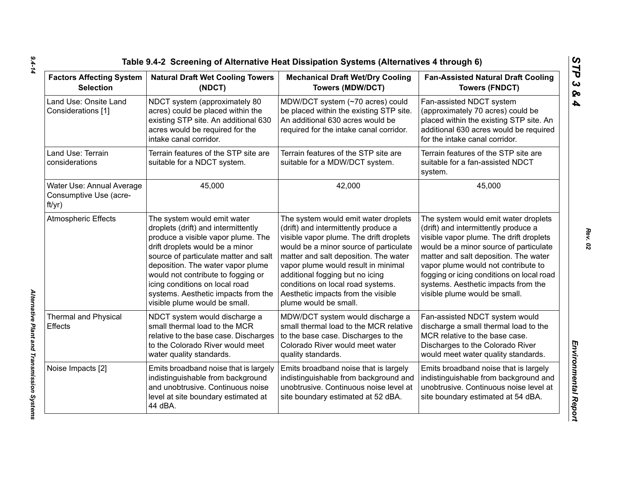| <b>Factors Affecting System</b><br><b>Selection</b>           | <b>Natural Draft Wet Cooling Towers</b><br>(NDCT)                                                                                                                                                                                                                                                                                                                         | <b>Mechanical Draft Wet/Dry Cooling</b><br><b>Towers (MDW/DCT)</b>                                                                                                                                                                                                                                                                                                                       | <b>Fan-Assisted Natural Draft Cooling</b><br><b>Towers (FNDCT)</b>                                                                                                                                                                                                                                                                                                     |  |
|---------------------------------------------------------------|---------------------------------------------------------------------------------------------------------------------------------------------------------------------------------------------------------------------------------------------------------------------------------------------------------------------------------------------------------------------------|------------------------------------------------------------------------------------------------------------------------------------------------------------------------------------------------------------------------------------------------------------------------------------------------------------------------------------------------------------------------------------------|------------------------------------------------------------------------------------------------------------------------------------------------------------------------------------------------------------------------------------------------------------------------------------------------------------------------------------------------------------------------|--|
| Land Use: Onsite Land<br>Considerations [1]                   | NDCT system (approximately 80<br>acres) could be placed within the<br>existing STP site. An additional 630<br>acres would be required for the<br>intake canal corridor.                                                                                                                                                                                                   | MDW/DCT system (~70 acres) could<br>be placed within the existing STP site.<br>An additional 630 acres would be<br>required for the intake canal corridor.                                                                                                                                                                                                                               | Fan-assisted NDCT system<br>(approximately 70 acres) could be<br>placed within the existing STP site. An<br>additional 630 acres would be required<br>for the intake canal corridor.                                                                                                                                                                                   |  |
| Land Use: Terrain<br>considerations                           | Terrain features of the STP site are<br>suitable for a NDCT system.                                                                                                                                                                                                                                                                                                       | Terrain features of the STP site are<br>suitable for a MDW/DCT system.                                                                                                                                                                                                                                                                                                                   | Terrain features of the STP site are<br>suitable for a fan-assisted NDCT<br>system.                                                                                                                                                                                                                                                                                    |  |
| Water Use: Annual Average<br>Consumptive Use (acre-<br>ft/yr) | 45,000                                                                                                                                                                                                                                                                                                                                                                    | 42,000                                                                                                                                                                                                                                                                                                                                                                                   | 45,000                                                                                                                                                                                                                                                                                                                                                                 |  |
| Atmospheric Effects                                           | The system would emit water<br>droplets (drift) and intermittently<br>produce a visible vapor plume. The<br>drift droplets would be a minor<br>source of particulate matter and salt<br>deposition. The water vapor plume<br>would not contribute to fogging or<br>icing conditions on local road<br>systems. Aesthetic impacts from the<br>visible plume would be small. | The system would emit water droplets<br>(drift) and intermittently produce a<br>visible vapor plume. The drift droplets<br>would be a minor source of particulate<br>matter and salt deposition. The water<br>vapor plume would result in minimal<br>additional fogging but no icing<br>conditions on local road systems.<br>Aesthetic impacts from the visible<br>plume would be small. | The system would emit water droplets<br>(drift) and intermittently produce a<br>visible vapor plume. The drift droplets<br>would be a minor source of particulate<br>matter and salt deposition. The water<br>vapor plume would not contribute to<br>fogging or icing conditions on local road<br>systems. Aesthetic impacts from the<br>visible plume would be small. |  |
| <b>Thermal and Physical</b><br><b>Effects</b>                 | NDCT system would discharge a<br>small thermal load to the MCR<br>relative to the base case. Discharges<br>to the Colorado River would meet<br>water quality standards.                                                                                                                                                                                                   | MDW/DCT system would discharge a<br>small thermal load to the MCR relative<br>to the base case. Discharges to the<br>Colorado River would meet water<br>quality standards.                                                                                                                                                                                                               | Fan-assisted NDCT system would<br>discharge a small thermal load to the<br>MCR relative to the base case.<br>Discharges to the Colorado River<br>would meet water quality standards.                                                                                                                                                                                   |  |
| Noise Impacts [2]                                             | Emits broadband noise that is largely<br>indistinguishable from background<br>and unobtrusive. Continuous noise<br>level at site boundary estimated at<br>44 dBA.                                                                                                                                                                                                         | Emits broadband noise that is largely<br>indistinguishable from background and<br>unobtrusive. Continuous noise level at<br>site boundary estimated at 52 dBA.                                                                                                                                                                                                                           | Emits broadband noise that is largely<br>indistinguishable from background and<br>unobtrusive. Continuous noise level at<br>site boundary estimated at 54 dBA.                                                                                                                                                                                                         |  |

*Alternative Plant and Transmission Systems* 

Alternative Plant and Transmission Systems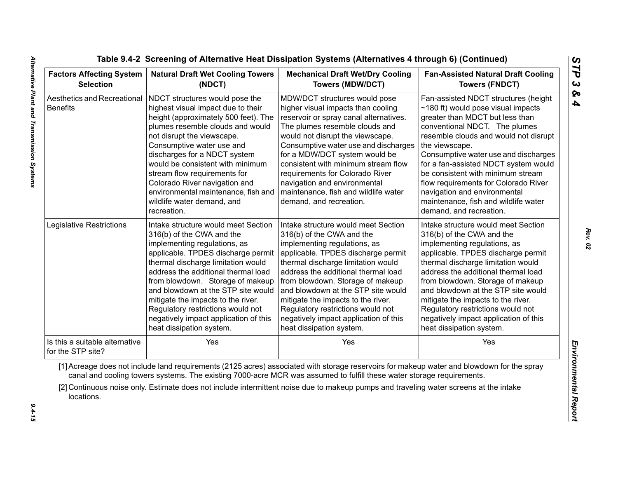| <b>Factors Affecting System</b><br><b>Selection</b> | <b>Natural Draft Wet Cooling Towers</b><br>(NDCT)                                                                                                                                                                                                                                                                                                                                                                                             | <b>Mechanical Draft Wet/Dry Cooling</b><br><b>Towers (MDW/DCT)</b>                                                                                                                                                                                                                                                                                                                                                                            | <b>Fan-Assisted Natural Draft Cooling</b><br><b>Towers (FNDCT)</b>                                                                                                                                                                                                                                                                                                                                                                                                              |  |
|-----------------------------------------------------|-----------------------------------------------------------------------------------------------------------------------------------------------------------------------------------------------------------------------------------------------------------------------------------------------------------------------------------------------------------------------------------------------------------------------------------------------|-----------------------------------------------------------------------------------------------------------------------------------------------------------------------------------------------------------------------------------------------------------------------------------------------------------------------------------------------------------------------------------------------------------------------------------------------|---------------------------------------------------------------------------------------------------------------------------------------------------------------------------------------------------------------------------------------------------------------------------------------------------------------------------------------------------------------------------------------------------------------------------------------------------------------------------------|--|
| Aesthetics and Recreational<br><b>Benefits</b>      | NDCT structures would pose the<br>highest visual impact due to their<br>height (approximately 500 feet). The<br>plumes resemble clouds and would<br>not disrupt the viewscape.<br>Consumptive water use and<br>discharges for a NDCT system<br>would be consistent with minimum<br>stream flow requirements for<br>Colorado River navigation and<br>environmental maintenance, fish and<br>wildlife water demand, and<br>recreation.          | MDW/DCT structures would pose<br>higher visual impacts than cooling<br>reservoir or spray canal alternatives.<br>The plumes resemble clouds and<br>would not disrupt the viewscape.<br>Consumptive water use and discharges<br>for a MDW/DCT system would be<br>consistent with minimum stream flow<br>requirements for Colorado River<br>navigation and environmental<br>maintenance, fish and wildlife water<br>demand, and recreation.     | Fan-assisted NDCT structures (height<br>$\sim$ 180 ft) would pose visual impacts<br>greater than MDCT but less than<br>conventional NDCT. The plumes<br>resemble clouds and would not disrupt<br>the viewscape.<br>Consumptive water use and discharges<br>for a fan-assisted NDCT system would<br>be consistent with minimum stream<br>flow requirements for Colorado River<br>navigation and environmental<br>maintenance, fish and wildlife water<br>demand, and recreation. |  |
| Legislative Restrictions                            | Intake structure would meet Section<br>316(b) of the CWA and the<br>implementing regulations, as<br>applicable. TPDES discharge permit<br>thermal discharge limitation would<br>address the additional thermal load<br>from blowdown. Storage of makeup<br>and blowdown at the STP site would<br>mitigate the impacts to the river.<br>Regulatory restrictions would not<br>negatively impact application of this<br>heat dissipation system. | Intake structure would meet Section<br>316(b) of the CWA and the<br>implementing regulations, as<br>applicable. TPDES discharge permit<br>thermal discharge limitation would<br>address the additional thermal load<br>from blowdown. Storage of makeup<br>and blowdown at the STP site would<br>mitigate the impacts to the river.<br>Regulatory restrictions would not<br>negatively impact application of this<br>heat dissipation system. | Intake structure would meet Section<br>316(b) of the CWA and the<br>implementing regulations, as<br>applicable. TPDES discharge permit<br>thermal discharge limitation would<br>address the additional thermal load<br>from blowdown. Storage of makeup<br>and blowdown at the STP site would<br>mitigate the impacts to the river.<br>Regulatory restrictions would not<br>negatively impact application of this<br>heat dissipation system.                                   |  |
| Is this a suitable alternative<br>for the STP site? | Yes                                                                                                                                                                                                                                                                                                                                                                                                                                           | Yes                                                                                                                                                                                                                                                                                                                                                                                                                                           | Yes                                                                                                                                                                                                                                                                                                                                                                                                                                                                             |  |
| locations.                                          |                                                                                                                                                                                                                                                                                                                                                                                                                                               | [1] Acreage does not include land requirements (2125 acres) associated with storage reservoirs for makeup water and blowdown for the spray<br>canal and cooling towers systems. The existing 7000-acre MCR was assumed to fulfill these water storage requirements.<br>[2] Continuous noise only. Estimate does not include intermittent noise due to makeup pumps and traveling water screens at the intake                                  |                                                                                                                                                                                                                                                                                                                                                                                                                                                                                 |  |

 $9.4 - 15$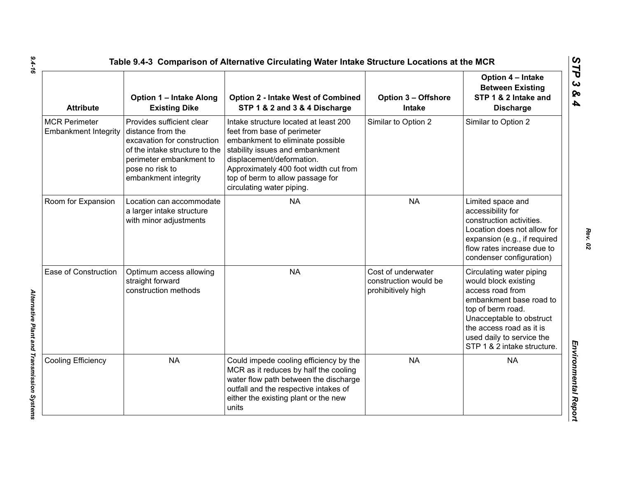| <b>Attribute</b>                                    | <b>Option 1 - Intake Along</b><br><b>Existing Dike</b>                                                                                                                                | <b>Option 2 - Intake West of Combined</b><br>STP 1 & 2 and 3 & 4 Discharge                                                                                                                                                                                                         | <b>Option 3 - Offshore</b><br><b>Intake</b>                       | Option 4 - Intake<br><b>Between Existing</b><br>STP 1 & 2 Intake and<br><b>Discharge</b>                                                                                                                                                 |
|-----------------------------------------------------|---------------------------------------------------------------------------------------------------------------------------------------------------------------------------------------|------------------------------------------------------------------------------------------------------------------------------------------------------------------------------------------------------------------------------------------------------------------------------------|-------------------------------------------------------------------|------------------------------------------------------------------------------------------------------------------------------------------------------------------------------------------------------------------------------------------|
| <b>MCR Perimeter</b><br><b>Embankment Integrity</b> | Provides sufficient clear<br>distance from the<br>excavation for construction<br>of the intake structure to the<br>perimeter embankment to<br>pose no risk to<br>embankment integrity | Intake structure located at least 200<br>feet from base of perimeter<br>embankment to eliminate possible<br>stability issues and embankment<br>displacement/deformation.<br>Approximately 400 foot width cut from<br>top of berm to allow passage for<br>circulating water piping. | Similar to Option 2                                               | Similar to Option 2                                                                                                                                                                                                                      |
| Room for Expansion                                  | Location can accommodate<br>a larger intake structure<br>with minor adjustments                                                                                                       | <b>NA</b>                                                                                                                                                                                                                                                                          | <b>NA</b>                                                         | Limited space and<br>accessibility for<br>construction activities.<br>Location does not allow for<br>expansion (e.g., if required<br>flow rates increase due to<br>condenser configuration)                                              |
| Ease of Construction                                | Optimum access allowing<br>straight forward<br>construction methods                                                                                                                   | <b>NA</b>                                                                                                                                                                                                                                                                          | Cost of underwater<br>construction would be<br>prohibitively high | Circulating water piping<br>would block existing<br>access road from<br>embankment base road to<br>top of berm road.<br>Unacceptable to obstruct<br>the access road as it is<br>used daily to service the<br>STP 1 & 2 intake structure. |
| Cooling Efficiency                                  | <b>NA</b>                                                                                                                                                                             | Could impede cooling efficiency by the<br>MCR as it reduces by half the cooling<br>water flow path between the discharge<br>outfall and the respective intakes of<br>either the existing plant or the new<br>units                                                                 | <b>NA</b>                                                         | <b>NA</b>                                                                                                                                                                                                                                |

*Alternative Plant and Transmission Systems* 

Alternative Plant and Transmission Systems